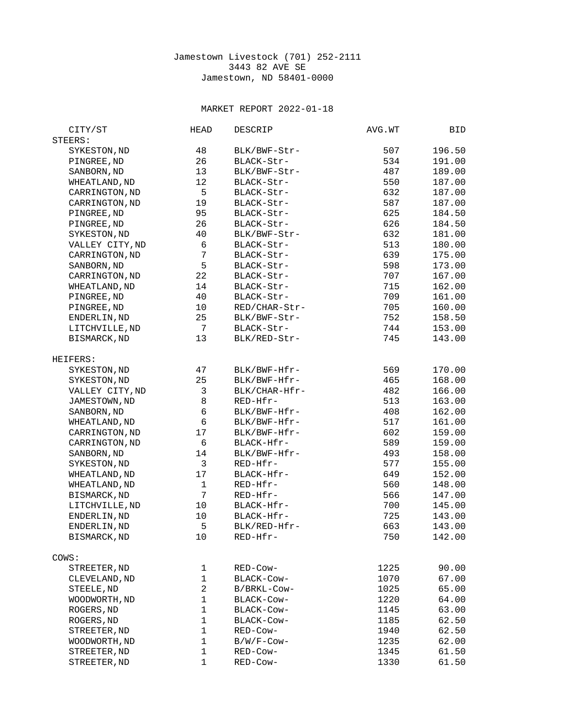## Jamestown Livestock (701) 252-2111 3443 82 AVE SE Jamestown, ND 58401-0000

## MARKET REPORT 2022-01-18

| STEERS:<br>196.50<br>SYKESTON, ND<br>48<br>BLK/BWF-Str-<br>507<br>PINGREE, ND<br>26<br>BLACK-Str-<br>534<br>191.00<br>SANBORN, ND<br>13<br>487<br>189.00<br>BLK/BWF-Str-<br>12<br>WHEATLAND, ND<br>BLACK-Str-<br>550<br>187.00<br>5<br>CARRINGTON, ND<br>BLACK-Str-<br>632<br>187.00<br>19<br>587<br>CARRINGTON, ND<br>BLACK-Str-<br>187.00<br>625<br>PINGREE, ND<br>95<br>BLACK-Str-<br>184.50<br>26<br>626<br>PINGREE, ND<br>BLACK-Str-<br>184.50<br>SYKESTON, ND<br>40<br>632<br>BLK/BWF-Str-<br>181.00<br>VALLEY CITY, ND<br>513<br>6<br>180.00<br>BLACK-Str-<br>$\overline{7}$<br>639<br>CARRINGTON, ND<br>BLACK-Str-<br>175.00<br>5<br>SANBORN, ND<br>598<br>173.00<br>BLACK-Str-<br>22<br>CARRINGTON, ND<br>BLACK-Str-<br>707<br>167.00<br>14<br>715<br>162.00<br>WHEATLAND, ND<br>BLACK-Str-<br>PINGREE, ND<br>40<br>709<br>161.00<br>BLACK-Str-<br>705<br>160.00<br>PINGREE, ND<br>10<br>RED/CHAR-Str-<br>25<br>752<br>ENDERLIN, ND<br>BLK/BWF-Str-<br>158.50<br>$\overline{7}$<br>LITCHVILLE, ND<br>744<br>153.00<br>BLACK-Str-<br>13<br>745<br>BISMARCK, ND<br>BLK/RED-Str-<br>143.00<br>HEIFERS:<br>SYKESTON, ND<br>47<br>BLK/BWF-Hfr-<br>569<br>170.00<br>SYKESTON, ND<br>25<br>BLK/BWF-Hfr-<br>465<br>168.00<br>3<br>VALLEY CITY, ND<br>BLK/CHAR-Hfr-<br>482<br>166.00<br>8<br>JAMESTOWN, ND<br>RED-Hfr-<br>513<br>163.00<br>$\,6$<br>BLK/BWF-Hfr-<br>162.00<br>SANBORN, ND<br>408<br>6<br>WHEATLAND, ND<br>BLK/BWF-Hfr-<br>517<br>161.00<br>17<br>CARRINGTON, ND<br>BLK/BWF-Hfr-<br>602<br>159.00<br>CARRINGTON, ND<br>6<br>BLACK-Hfr-<br>589<br>159.00<br>SANBORN, ND<br>14<br>BLK/BWF-Hfr-<br>493<br>158.00<br>3<br>SYKESTON, ND<br>RED-Hfr-<br>577<br>155.00<br>17<br>BLACK-Hfr-<br>649<br>152.00<br>WHEATLAND, ND<br>$\mathbf{1}$<br>560<br>RED-Hfr-<br>148.00<br>WHEATLAND, ND<br>$\overline{7}$<br>BISMARCK, ND<br>RED-Hfr-<br>566<br>147.00<br>LITCHVILLE, ND<br>10<br>BLACK-Hfr-<br>700<br>145.00<br>10<br>ENDERLIN, ND<br>BLACK-Hfr-<br>725<br>143.00<br>5<br>ENDERLIN, ND<br>BLK/RED-Hfr-<br>663<br>143.00<br>BISMARCK, ND<br>10<br>750<br>142.00<br>RED-Hfr-<br>RED-Cow-<br>1225<br>90.00<br>STREETER, ND<br>1<br>$\mathbf{1}$<br>BLACK-Cow-<br>1070<br>67.00<br>CLEVELAND, ND<br>$\overline{c}$<br>STEELE, ND<br>B/BRKL-Cow-<br>1025<br>65.00<br>$\mathbf{1}$<br>WOODWORTH, ND<br>1220<br>64.00<br>BLACK-Cow-<br>$\mathbf 1$<br>ROGERS, ND<br>BLACK-COW-<br>1145<br>63.00<br>$\mathbf{1}$<br>ROGERS, ND<br>62.50<br>BLACK-Cow-<br>1185<br>STREETER, ND<br>1<br>62.50<br>RED-Cow-<br>1940<br>1<br>62.00<br>WOODWORTH, ND<br>B/W/F-Cow-<br>1235<br>1<br>61.50<br>STREETER, ND<br>RED-Cow-<br>1345<br>1<br>STREETER, ND<br>RED-Cow-<br>1330<br>61.50 | CITY/ST | <b>HEAD</b> | <b>DESCRIP</b> | AVG.WT | BID |
|------------------------------------------------------------------------------------------------------------------------------------------------------------------------------------------------------------------------------------------------------------------------------------------------------------------------------------------------------------------------------------------------------------------------------------------------------------------------------------------------------------------------------------------------------------------------------------------------------------------------------------------------------------------------------------------------------------------------------------------------------------------------------------------------------------------------------------------------------------------------------------------------------------------------------------------------------------------------------------------------------------------------------------------------------------------------------------------------------------------------------------------------------------------------------------------------------------------------------------------------------------------------------------------------------------------------------------------------------------------------------------------------------------------------------------------------------------------------------------------------------------------------------------------------------------------------------------------------------------------------------------------------------------------------------------------------------------------------------------------------------------------------------------------------------------------------------------------------------------------------------------------------------------------------------------------------------------------------------------------------------------------------------------------------------------------------------------------------------------------------------------------------------------------------------------------------------------------------------------------------------------------------------------------------------------------------------------------------------------------------------------------------------------------------------------------------------------------------------------------------------------------------------------------------------------------------------------------------------------------------------------------------------------------------------|---------|-------------|----------------|--------|-----|
|                                                                                                                                                                                                                                                                                                                                                                                                                                                                                                                                                                                                                                                                                                                                                                                                                                                                                                                                                                                                                                                                                                                                                                                                                                                                                                                                                                                                                                                                                                                                                                                                                                                                                                                                                                                                                                                                                                                                                                                                                                                                                                                                                                                                                                                                                                                                                                                                                                                                                                                                                                                                                                                                              |         |             |                |        |     |
|                                                                                                                                                                                                                                                                                                                                                                                                                                                                                                                                                                                                                                                                                                                                                                                                                                                                                                                                                                                                                                                                                                                                                                                                                                                                                                                                                                                                                                                                                                                                                                                                                                                                                                                                                                                                                                                                                                                                                                                                                                                                                                                                                                                                                                                                                                                                                                                                                                                                                                                                                                                                                                                                              |         |             |                |        |     |
|                                                                                                                                                                                                                                                                                                                                                                                                                                                                                                                                                                                                                                                                                                                                                                                                                                                                                                                                                                                                                                                                                                                                                                                                                                                                                                                                                                                                                                                                                                                                                                                                                                                                                                                                                                                                                                                                                                                                                                                                                                                                                                                                                                                                                                                                                                                                                                                                                                                                                                                                                                                                                                                                              |         |             |                |        |     |
|                                                                                                                                                                                                                                                                                                                                                                                                                                                                                                                                                                                                                                                                                                                                                                                                                                                                                                                                                                                                                                                                                                                                                                                                                                                                                                                                                                                                                                                                                                                                                                                                                                                                                                                                                                                                                                                                                                                                                                                                                                                                                                                                                                                                                                                                                                                                                                                                                                                                                                                                                                                                                                                                              |         |             |                |        |     |
|                                                                                                                                                                                                                                                                                                                                                                                                                                                                                                                                                                                                                                                                                                                                                                                                                                                                                                                                                                                                                                                                                                                                                                                                                                                                                                                                                                                                                                                                                                                                                                                                                                                                                                                                                                                                                                                                                                                                                                                                                                                                                                                                                                                                                                                                                                                                                                                                                                                                                                                                                                                                                                                                              |         |             |                |        |     |
|                                                                                                                                                                                                                                                                                                                                                                                                                                                                                                                                                                                                                                                                                                                                                                                                                                                                                                                                                                                                                                                                                                                                                                                                                                                                                                                                                                                                                                                                                                                                                                                                                                                                                                                                                                                                                                                                                                                                                                                                                                                                                                                                                                                                                                                                                                                                                                                                                                                                                                                                                                                                                                                                              |         |             |                |        |     |
|                                                                                                                                                                                                                                                                                                                                                                                                                                                                                                                                                                                                                                                                                                                                                                                                                                                                                                                                                                                                                                                                                                                                                                                                                                                                                                                                                                                                                                                                                                                                                                                                                                                                                                                                                                                                                                                                                                                                                                                                                                                                                                                                                                                                                                                                                                                                                                                                                                                                                                                                                                                                                                                                              |         |             |                |        |     |
|                                                                                                                                                                                                                                                                                                                                                                                                                                                                                                                                                                                                                                                                                                                                                                                                                                                                                                                                                                                                                                                                                                                                                                                                                                                                                                                                                                                                                                                                                                                                                                                                                                                                                                                                                                                                                                                                                                                                                                                                                                                                                                                                                                                                                                                                                                                                                                                                                                                                                                                                                                                                                                                                              |         |             |                |        |     |
|                                                                                                                                                                                                                                                                                                                                                                                                                                                                                                                                                                                                                                                                                                                                                                                                                                                                                                                                                                                                                                                                                                                                                                                                                                                                                                                                                                                                                                                                                                                                                                                                                                                                                                                                                                                                                                                                                                                                                                                                                                                                                                                                                                                                                                                                                                                                                                                                                                                                                                                                                                                                                                                                              |         |             |                |        |     |
|                                                                                                                                                                                                                                                                                                                                                                                                                                                                                                                                                                                                                                                                                                                                                                                                                                                                                                                                                                                                                                                                                                                                                                                                                                                                                                                                                                                                                                                                                                                                                                                                                                                                                                                                                                                                                                                                                                                                                                                                                                                                                                                                                                                                                                                                                                                                                                                                                                                                                                                                                                                                                                                                              |         |             |                |        |     |
|                                                                                                                                                                                                                                                                                                                                                                                                                                                                                                                                                                                                                                                                                                                                                                                                                                                                                                                                                                                                                                                                                                                                                                                                                                                                                                                                                                                                                                                                                                                                                                                                                                                                                                                                                                                                                                                                                                                                                                                                                                                                                                                                                                                                                                                                                                                                                                                                                                                                                                                                                                                                                                                                              |         |             |                |        |     |
|                                                                                                                                                                                                                                                                                                                                                                                                                                                                                                                                                                                                                                                                                                                                                                                                                                                                                                                                                                                                                                                                                                                                                                                                                                                                                                                                                                                                                                                                                                                                                                                                                                                                                                                                                                                                                                                                                                                                                                                                                                                                                                                                                                                                                                                                                                                                                                                                                                                                                                                                                                                                                                                                              |         |             |                |        |     |
|                                                                                                                                                                                                                                                                                                                                                                                                                                                                                                                                                                                                                                                                                                                                                                                                                                                                                                                                                                                                                                                                                                                                                                                                                                                                                                                                                                                                                                                                                                                                                                                                                                                                                                                                                                                                                                                                                                                                                                                                                                                                                                                                                                                                                                                                                                                                                                                                                                                                                                                                                                                                                                                                              |         |             |                |        |     |
|                                                                                                                                                                                                                                                                                                                                                                                                                                                                                                                                                                                                                                                                                                                                                                                                                                                                                                                                                                                                                                                                                                                                                                                                                                                                                                                                                                                                                                                                                                                                                                                                                                                                                                                                                                                                                                                                                                                                                                                                                                                                                                                                                                                                                                                                                                                                                                                                                                                                                                                                                                                                                                                                              |         |             |                |        |     |
|                                                                                                                                                                                                                                                                                                                                                                                                                                                                                                                                                                                                                                                                                                                                                                                                                                                                                                                                                                                                                                                                                                                                                                                                                                                                                                                                                                                                                                                                                                                                                                                                                                                                                                                                                                                                                                                                                                                                                                                                                                                                                                                                                                                                                                                                                                                                                                                                                                                                                                                                                                                                                                                                              |         |             |                |        |     |
|                                                                                                                                                                                                                                                                                                                                                                                                                                                                                                                                                                                                                                                                                                                                                                                                                                                                                                                                                                                                                                                                                                                                                                                                                                                                                                                                                                                                                                                                                                                                                                                                                                                                                                                                                                                                                                                                                                                                                                                                                                                                                                                                                                                                                                                                                                                                                                                                                                                                                                                                                                                                                                                                              |         |             |                |        |     |
|                                                                                                                                                                                                                                                                                                                                                                                                                                                                                                                                                                                                                                                                                                                                                                                                                                                                                                                                                                                                                                                                                                                                                                                                                                                                                                                                                                                                                                                                                                                                                                                                                                                                                                                                                                                                                                                                                                                                                                                                                                                                                                                                                                                                                                                                                                                                                                                                                                                                                                                                                                                                                                                                              |         |             |                |        |     |
|                                                                                                                                                                                                                                                                                                                                                                                                                                                                                                                                                                                                                                                                                                                                                                                                                                                                                                                                                                                                                                                                                                                                                                                                                                                                                                                                                                                                                                                                                                                                                                                                                                                                                                                                                                                                                                                                                                                                                                                                                                                                                                                                                                                                                                                                                                                                                                                                                                                                                                                                                                                                                                                                              |         |             |                |        |     |
|                                                                                                                                                                                                                                                                                                                                                                                                                                                                                                                                                                                                                                                                                                                                                                                                                                                                                                                                                                                                                                                                                                                                                                                                                                                                                                                                                                                                                                                                                                                                                                                                                                                                                                                                                                                                                                                                                                                                                                                                                                                                                                                                                                                                                                                                                                                                                                                                                                                                                                                                                                                                                                                                              |         |             |                |        |     |
|                                                                                                                                                                                                                                                                                                                                                                                                                                                                                                                                                                                                                                                                                                                                                                                                                                                                                                                                                                                                                                                                                                                                                                                                                                                                                                                                                                                                                                                                                                                                                                                                                                                                                                                                                                                                                                                                                                                                                                                                                                                                                                                                                                                                                                                                                                                                                                                                                                                                                                                                                                                                                                                                              |         |             |                |        |     |
|                                                                                                                                                                                                                                                                                                                                                                                                                                                                                                                                                                                                                                                                                                                                                                                                                                                                                                                                                                                                                                                                                                                                                                                                                                                                                                                                                                                                                                                                                                                                                                                                                                                                                                                                                                                                                                                                                                                                                                                                                                                                                                                                                                                                                                                                                                                                                                                                                                                                                                                                                                                                                                                                              |         |             |                |        |     |
|                                                                                                                                                                                                                                                                                                                                                                                                                                                                                                                                                                                                                                                                                                                                                                                                                                                                                                                                                                                                                                                                                                                                                                                                                                                                                                                                                                                                                                                                                                                                                                                                                                                                                                                                                                                                                                                                                                                                                                                                                                                                                                                                                                                                                                                                                                                                                                                                                                                                                                                                                                                                                                                                              |         |             |                |        |     |
|                                                                                                                                                                                                                                                                                                                                                                                                                                                                                                                                                                                                                                                                                                                                                                                                                                                                                                                                                                                                                                                                                                                                                                                                                                                                                                                                                                                                                                                                                                                                                                                                                                                                                                                                                                                                                                                                                                                                                                                                                                                                                                                                                                                                                                                                                                                                                                                                                                                                                                                                                                                                                                                                              |         |             |                |        |     |
|                                                                                                                                                                                                                                                                                                                                                                                                                                                                                                                                                                                                                                                                                                                                                                                                                                                                                                                                                                                                                                                                                                                                                                                                                                                                                                                                                                                                                                                                                                                                                                                                                                                                                                                                                                                                                                                                                                                                                                                                                                                                                                                                                                                                                                                                                                                                                                                                                                                                                                                                                                                                                                                                              |         |             |                |        |     |
|                                                                                                                                                                                                                                                                                                                                                                                                                                                                                                                                                                                                                                                                                                                                                                                                                                                                                                                                                                                                                                                                                                                                                                                                                                                                                                                                                                                                                                                                                                                                                                                                                                                                                                                                                                                                                                                                                                                                                                                                                                                                                                                                                                                                                                                                                                                                                                                                                                                                                                                                                                                                                                                                              |         |             |                |        |     |
|                                                                                                                                                                                                                                                                                                                                                                                                                                                                                                                                                                                                                                                                                                                                                                                                                                                                                                                                                                                                                                                                                                                                                                                                                                                                                                                                                                                                                                                                                                                                                                                                                                                                                                                                                                                                                                                                                                                                                                                                                                                                                                                                                                                                                                                                                                                                                                                                                                                                                                                                                                                                                                                                              |         |             |                |        |     |
|                                                                                                                                                                                                                                                                                                                                                                                                                                                                                                                                                                                                                                                                                                                                                                                                                                                                                                                                                                                                                                                                                                                                                                                                                                                                                                                                                                                                                                                                                                                                                                                                                                                                                                                                                                                                                                                                                                                                                                                                                                                                                                                                                                                                                                                                                                                                                                                                                                                                                                                                                                                                                                                                              |         |             |                |        |     |
|                                                                                                                                                                                                                                                                                                                                                                                                                                                                                                                                                                                                                                                                                                                                                                                                                                                                                                                                                                                                                                                                                                                                                                                                                                                                                                                                                                                                                                                                                                                                                                                                                                                                                                                                                                                                                                                                                                                                                                                                                                                                                                                                                                                                                                                                                                                                                                                                                                                                                                                                                                                                                                                                              |         |             |                |        |     |
|                                                                                                                                                                                                                                                                                                                                                                                                                                                                                                                                                                                                                                                                                                                                                                                                                                                                                                                                                                                                                                                                                                                                                                                                                                                                                                                                                                                                                                                                                                                                                                                                                                                                                                                                                                                                                                                                                                                                                                                                                                                                                                                                                                                                                                                                                                                                                                                                                                                                                                                                                                                                                                                                              |         |             |                |        |     |
|                                                                                                                                                                                                                                                                                                                                                                                                                                                                                                                                                                                                                                                                                                                                                                                                                                                                                                                                                                                                                                                                                                                                                                                                                                                                                                                                                                                                                                                                                                                                                                                                                                                                                                                                                                                                                                                                                                                                                                                                                                                                                                                                                                                                                                                                                                                                                                                                                                                                                                                                                                                                                                                                              |         |             |                |        |     |
|                                                                                                                                                                                                                                                                                                                                                                                                                                                                                                                                                                                                                                                                                                                                                                                                                                                                                                                                                                                                                                                                                                                                                                                                                                                                                                                                                                                                                                                                                                                                                                                                                                                                                                                                                                                                                                                                                                                                                                                                                                                                                                                                                                                                                                                                                                                                                                                                                                                                                                                                                                                                                                                                              |         |             |                |        |     |
|                                                                                                                                                                                                                                                                                                                                                                                                                                                                                                                                                                                                                                                                                                                                                                                                                                                                                                                                                                                                                                                                                                                                                                                                                                                                                                                                                                                                                                                                                                                                                                                                                                                                                                                                                                                                                                                                                                                                                                                                                                                                                                                                                                                                                                                                                                                                                                                                                                                                                                                                                                                                                                                                              |         |             |                |        |     |
|                                                                                                                                                                                                                                                                                                                                                                                                                                                                                                                                                                                                                                                                                                                                                                                                                                                                                                                                                                                                                                                                                                                                                                                                                                                                                                                                                                                                                                                                                                                                                                                                                                                                                                                                                                                                                                                                                                                                                                                                                                                                                                                                                                                                                                                                                                                                                                                                                                                                                                                                                                                                                                                                              |         |             |                |        |     |
|                                                                                                                                                                                                                                                                                                                                                                                                                                                                                                                                                                                                                                                                                                                                                                                                                                                                                                                                                                                                                                                                                                                                                                                                                                                                                                                                                                                                                                                                                                                                                                                                                                                                                                                                                                                                                                                                                                                                                                                                                                                                                                                                                                                                                                                                                                                                                                                                                                                                                                                                                                                                                                                                              |         |             |                |        |     |
|                                                                                                                                                                                                                                                                                                                                                                                                                                                                                                                                                                                                                                                                                                                                                                                                                                                                                                                                                                                                                                                                                                                                                                                                                                                                                                                                                                                                                                                                                                                                                                                                                                                                                                                                                                                                                                                                                                                                                                                                                                                                                                                                                                                                                                                                                                                                                                                                                                                                                                                                                                                                                                                                              |         |             |                |        |     |
|                                                                                                                                                                                                                                                                                                                                                                                                                                                                                                                                                                                                                                                                                                                                                                                                                                                                                                                                                                                                                                                                                                                                                                                                                                                                                                                                                                                                                                                                                                                                                                                                                                                                                                                                                                                                                                                                                                                                                                                                                                                                                                                                                                                                                                                                                                                                                                                                                                                                                                                                                                                                                                                                              |         |             |                |        |     |
|                                                                                                                                                                                                                                                                                                                                                                                                                                                                                                                                                                                                                                                                                                                                                                                                                                                                                                                                                                                                                                                                                                                                                                                                                                                                                                                                                                                                                                                                                                                                                                                                                                                                                                                                                                                                                                                                                                                                                                                                                                                                                                                                                                                                                                                                                                                                                                                                                                                                                                                                                                                                                                                                              |         |             |                |        |     |
|                                                                                                                                                                                                                                                                                                                                                                                                                                                                                                                                                                                                                                                                                                                                                                                                                                                                                                                                                                                                                                                                                                                                                                                                                                                                                                                                                                                                                                                                                                                                                                                                                                                                                                                                                                                                                                                                                                                                                                                                                                                                                                                                                                                                                                                                                                                                                                                                                                                                                                                                                                                                                                                                              |         |             |                |        |     |
|                                                                                                                                                                                                                                                                                                                                                                                                                                                                                                                                                                                                                                                                                                                                                                                                                                                                                                                                                                                                                                                                                                                                                                                                                                                                                                                                                                                                                                                                                                                                                                                                                                                                                                                                                                                                                                                                                                                                                                                                                                                                                                                                                                                                                                                                                                                                                                                                                                                                                                                                                                                                                                                                              |         |             |                |        |     |
|                                                                                                                                                                                                                                                                                                                                                                                                                                                                                                                                                                                                                                                                                                                                                                                                                                                                                                                                                                                                                                                                                                                                                                                                                                                                                                                                                                                                                                                                                                                                                                                                                                                                                                                                                                                                                                                                                                                                                                                                                                                                                                                                                                                                                                                                                                                                                                                                                                                                                                                                                                                                                                                                              |         |             |                |        |     |
|                                                                                                                                                                                                                                                                                                                                                                                                                                                                                                                                                                                                                                                                                                                                                                                                                                                                                                                                                                                                                                                                                                                                                                                                                                                                                                                                                                                                                                                                                                                                                                                                                                                                                                                                                                                                                                                                                                                                                                                                                                                                                                                                                                                                                                                                                                                                                                                                                                                                                                                                                                                                                                                                              | COWS:   |             |                |        |     |
|                                                                                                                                                                                                                                                                                                                                                                                                                                                                                                                                                                                                                                                                                                                                                                                                                                                                                                                                                                                                                                                                                                                                                                                                                                                                                                                                                                                                                                                                                                                                                                                                                                                                                                                                                                                                                                                                                                                                                                                                                                                                                                                                                                                                                                                                                                                                                                                                                                                                                                                                                                                                                                                                              |         |             |                |        |     |
|                                                                                                                                                                                                                                                                                                                                                                                                                                                                                                                                                                                                                                                                                                                                                                                                                                                                                                                                                                                                                                                                                                                                                                                                                                                                                                                                                                                                                                                                                                                                                                                                                                                                                                                                                                                                                                                                                                                                                                                                                                                                                                                                                                                                                                                                                                                                                                                                                                                                                                                                                                                                                                                                              |         |             |                |        |     |
|                                                                                                                                                                                                                                                                                                                                                                                                                                                                                                                                                                                                                                                                                                                                                                                                                                                                                                                                                                                                                                                                                                                                                                                                                                                                                                                                                                                                                                                                                                                                                                                                                                                                                                                                                                                                                                                                                                                                                                                                                                                                                                                                                                                                                                                                                                                                                                                                                                                                                                                                                                                                                                                                              |         |             |                |        |     |
|                                                                                                                                                                                                                                                                                                                                                                                                                                                                                                                                                                                                                                                                                                                                                                                                                                                                                                                                                                                                                                                                                                                                                                                                                                                                                                                                                                                                                                                                                                                                                                                                                                                                                                                                                                                                                                                                                                                                                                                                                                                                                                                                                                                                                                                                                                                                                                                                                                                                                                                                                                                                                                                                              |         |             |                |        |     |
|                                                                                                                                                                                                                                                                                                                                                                                                                                                                                                                                                                                                                                                                                                                                                                                                                                                                                                                                                                                                                                                                                                                                                                                                                                                                                                                                                                                                                                                                                                                                                                                                                                                                                                                                                                                                                                                                                                                                                                                                                                                                                                                                                                                                                                                                                                                                                                                                                                                                                                                                                                                                                                                                              |         |             |                |        |     |
|                                                                                                                                                                                                                                                                                                                                                                                                                                                                                                                                                                                                                                                                                                                                                                                                                                                                                                                                                                                                                                                                                                                                                                                                                                                                                                                                                                                                                                                                                                                                                                                                                                                                                                                                                                                                                                                                                                                                                                                                                                                                                                                                                                                                                                                                                                                                                                                                                                                                                                                                                                                                                                                                              |         |             |                |        |     |
|                                                                                                                                                                                                                                                                                                                                                                                                                                                                                                                                                                                                                                                                                                                                                                                                                                                                                                                                                                                                                                                                                                                                                                                                                                                                                                                                                                                                                                                                                                                                                                                                                                                                                                                                                                                                                                                                                                                                                                                                                                                                                                                                                                                                                                                                                                                                                                                                                                                                                                                                                                                                                                                                              |         |             |                |        |     |
|                                                                                                                                                                                                                                                                                                                                                                                                                                                                                                                                                                                                                                                                                                                                                                                                                                                                                                                                                                                                                                                                                                                                                                                                                                                                                                                                                                                                                                                                                                                                                                                                                                                                                                                                                                                                                                                                                                                                                                                                                                                                                                                                                                                                                                                                                                                                                                                                                                                                                                                                                                                                                                                                              |         |             |                |        |     |
|                                                                                                                                                                                                                                                                                                                                                                                                                                                                                                                                                                                                                                                                                                                                                                                                                                                                                                                                                                                                                                                                                                                                                                                                                                                                                                                                                                                                                                                                                                                                                                                                                                                                                                                                                                                                                                                                                                                                                                                                                                                                                                                                                                                                                                                                                                                                                                                                                                                                                                                                                                                                                                                                              |         |             |                |        |     |
|                                                                                                                                                                                                                                                                                                                                                                                                                                                                                                                                                                                                                                                                                                                                                                                                                                                                                                                                                                                                                                                                                                                                                                                                                                                                                                                                                                                                                                                                                                                                                                                                                                                                                                                                                                                                                                                                                                                                                                                                                                                                                                                                                                                                                                                                                                                                                                                                                                                                                                                                                                                                                                                                              |         |             |                |        |     |